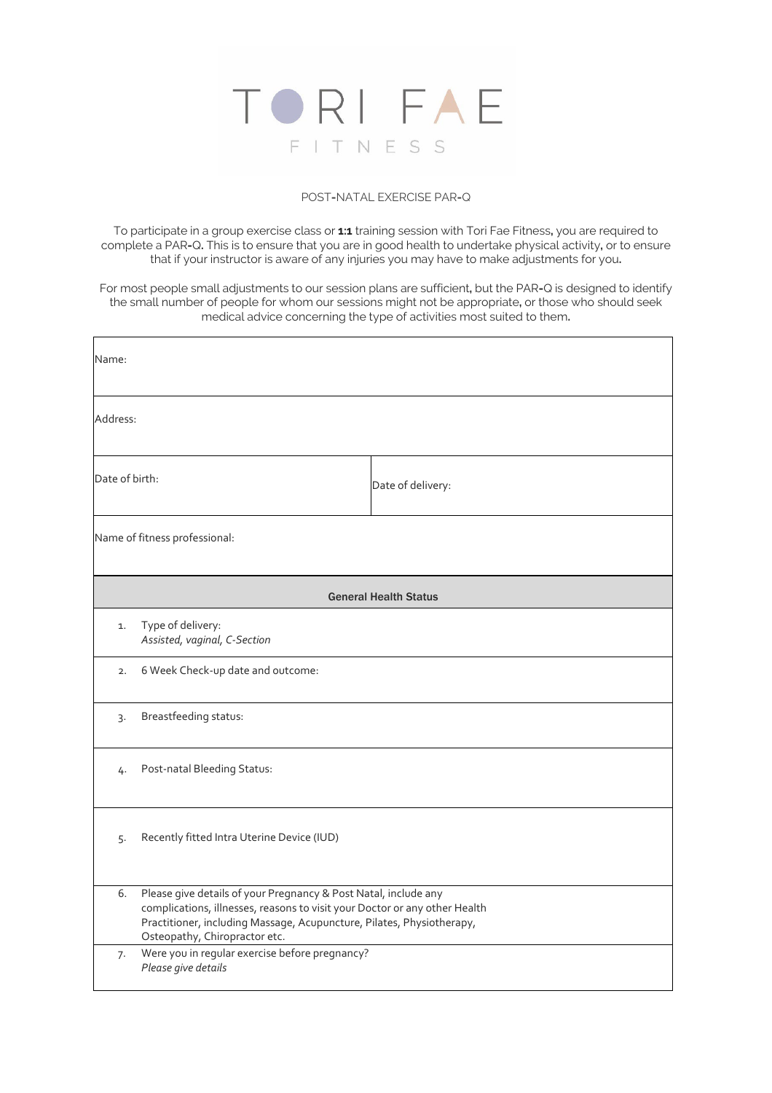

### POST**-**NATAL EXERCISE PAR**-**Q

To participate in a group exercise class or **1:1** training session with Tori Fae Fitness**,** you are required to complete a PAR**-**Q**.** This is to ensure that you are in good health to undertake physical activity**,** or to ensure that if your instructor is aware of any injuries you may have to make adjustments for you**.** 

For most people small adjustments to our session plans are sufficient**,** but the PAR**-**Q is designed to identify the small number of people for whom our sessions might not be appropriate**,** or those who should seek medical advice concerning the type of activities most suited to them**.** 

| Name:                                            |                                                                                                                                                                                                                                                         |                   |  |  |
|--------------------------------------------------|---------------------------------------------------------------------------------------------------------------------------------------------------------------------------------------------------------------------------------------------------------|-------------------|--|--|
| Address:                                         |                                                                                                                                                                                                                                                         |                   |  |  |
| Date of birth:                                   |                                                                                                                                                                                                                                                         | Date of delivery: |  |  |
|                                                  | Name of fitness professional:                                                                                                                                                                                                                           |                   |  |  |
| <b>General Health Status</b>                     |                                                                                                                                                                                                                                                         |                   |  |  |
| 1.                                               | Type of delivery:<br>Assisted, vaginal, C-Section                                                                                                                                                                                                       |                   |  |  |
| 2.                                               | 6 Week Check-up date and outcome:                                                                                                                                                                                                                       |                   |  |  |
| 3.                                               | Breastfeeding status:                                                                                                                                                                                                                                   |                   |  |  |
| Post-natal Bleeding Status:<br>4.                |                                                                                                                                                                                                                                                         |                   |  |  |
| Recently fitted Intra Uterine Device (IUD)<br>5. |                                                                                                                                                                                                                                                         |                   |  |  |
| 6.                                               | Please give details of your Pregnancy & Post Natal, include any<br>complications, illnesses, reasons to visit your Doctor or any other Health<br>Practitioner, including Massage, Acupuncture, Pilates, Physiotherapy,<br>Osteopathy, Chiropractor etc. |                   |  |  |
| 7.                                               | Were you in regular exercise before pregnancy?<br>Please give details                                                                                                                                                                                   |                   |  |  |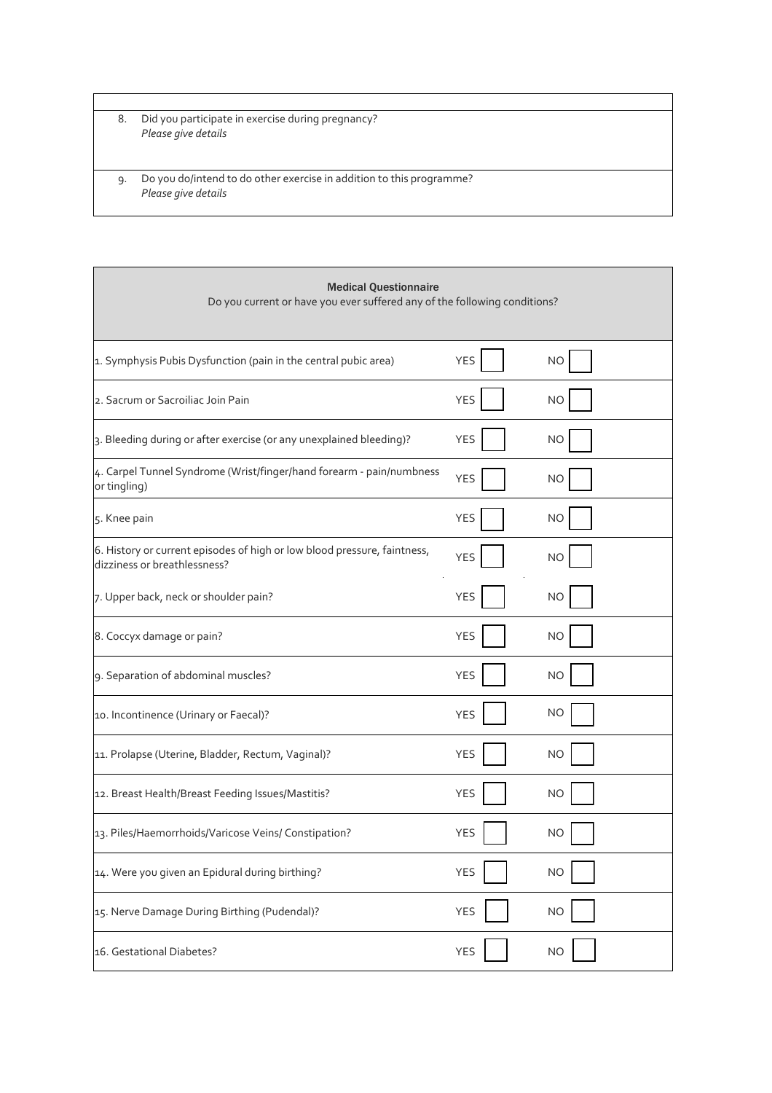8. Did you participate in exercise during pregnancy? *Please give details* 

9. Do you do/intend to do other exercise in addition to this programme? *Please give details* 

| <b>Medical Questionnaire</b><br>Do you current or have you ever suffered any of the following conditions? |            |           |  |
|-----------------------------------------------------------------------------------------------------------|------------|-----------|--|
| 1. Symphysis Pubis Dysfunction (pain in the central pubic area)                                           | <b>YES</b> | <b>NO</b> |  |
| 2. Sacrum or Sacroiliac Join Pain                                                                         | <b>YES</b> | ΝO        |  |
| 3. Bleeding during or after exercise (or any unexplained bleeding)?                                       | <b>YES</b> | <b>NO</b> |  |
| 4. Carpel Tunnel Syndrome (Wrist/finger/hand forearm - pain/numbness<br>or tingling)                      | <b>YES</b> | <b>NO</b> |  |
| 5. Knee pain                                                                                              | <b>YES</b> | <b>NO</b> |  |
| 6. History or current episodes of high or low blood pressure, faintness,<br>dizziness or breathlessness?  | <b>YES</b> | <b>NO</b> |  |
| 7. Upper back, neck or shoulder pain?                                                                     | <b>YES</b> | <b>NO</b> |  |
| 8. Coccyx damage or pain?                                                                                 | <b>YES</b> | <b>NO</b> |  |
| 9. Separation of abdominal muscles?                                                                       | <b>YES</b> | <b>NO</b> |  |
| 10. Incontinence (Urinary or Faecal)?                                                                     | <b>YES</b> | NO        |  |
| 11. Prolapse (Uterine, Bladder, Rectum, Vaginal)?                                                         | <b>YES</b> | NO        |  |
| 12. Breast Health/Breast Feeding Issues/Mastitis?                                                         | <b>YES</b> | NO        |  |
| 13. Piles/Haemorrhoids/Varicose Veins/ Constipation?                                                      | <b>YES</b> | NO        |  |
| 14. Were you given an Epidural during birthing?                                                           | <b>YES</b> | <b>NO</b> |  |
| 15. Nerve Damage During Birthing (Pudendal)?                                                              | <b>YES</b> | NO        |  |
| 16. Gestational Diabetes?                                                                                 | <b>YES</b> | <b>NO</b> |  |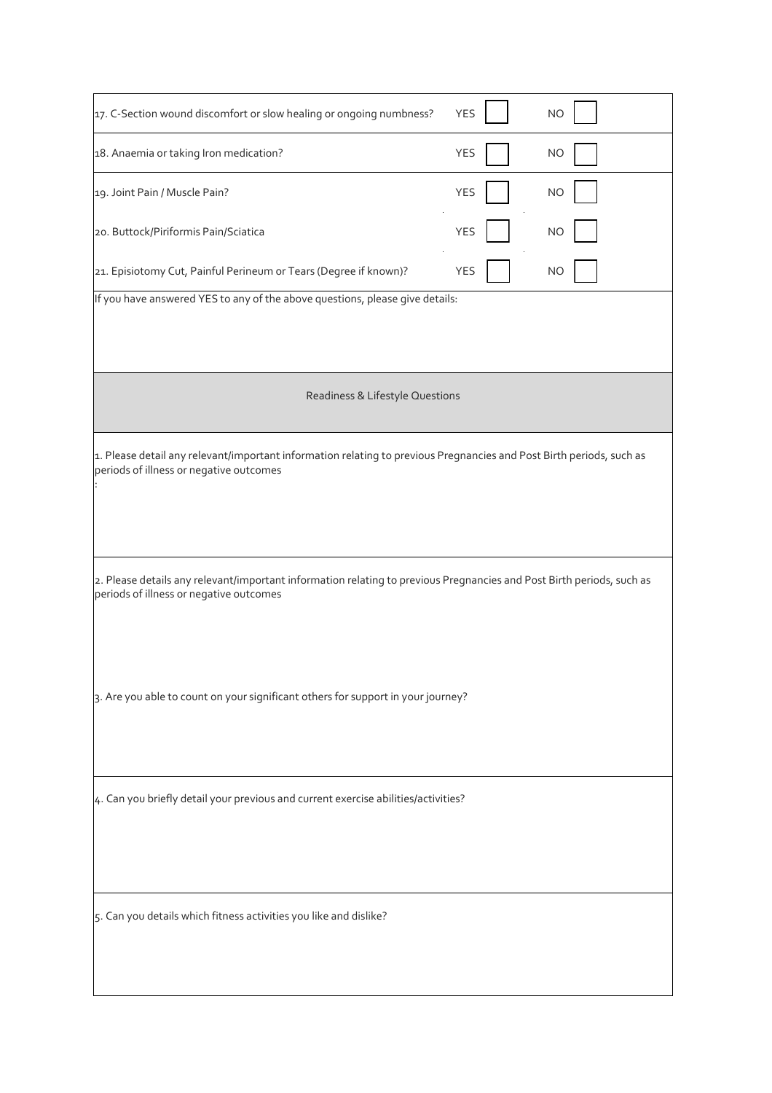| 17. C-Section wound discomfort or slow healing or ongoing numbness?                                                                                              | <b>YES</b> | <b>NO</b> |
|------------------------------------------------------------------------------------------------------------------------------------------------------------------|------------|-----------|
| 18. Anaemia or taking Iron medication?                                                                                                                           | <b>YES</b> | <b>NO</b> |
| 19. Joint Pain / Muscle Pain?                                                                                                                                    | <b>YES</b> | <b>NO</b> |
| 20. Buttock/Piriformis Pain/Sciatica                                                                                                                             | <b>YES</b> | <b>NO</b> |
| 21. Episiotomy Cut, Painful Perineum or Tears (Degree if known)?                                                                                                 | <b>YES</b> | NO        |
| If you have answered YES to any of the above questions, please give details:                                                                                     |            |           |
| Readiness & Lifestyle Questions                                                                                                                                  |            |           |
| 1. Please detail any relevant/important information relating to previous Pregnancies and Post Birth periods, such as<br>periods of illness or negative outcomes  |            |           |
| 2. Please details any relevant/important information relating to previous Pregnancies and Post Birth periods, such as<br>periods of illness or negative outcomes |            |           |
| 3. Are you able to count on your significant others for support in your journey?                                                                                 |            |           |
| 4. Can you briefly detail your previous and current exercise abilities/activities?                                                                               |            |           |
| 5. Can you details which fitness activities you like and dislike?                                                                                                |            |           |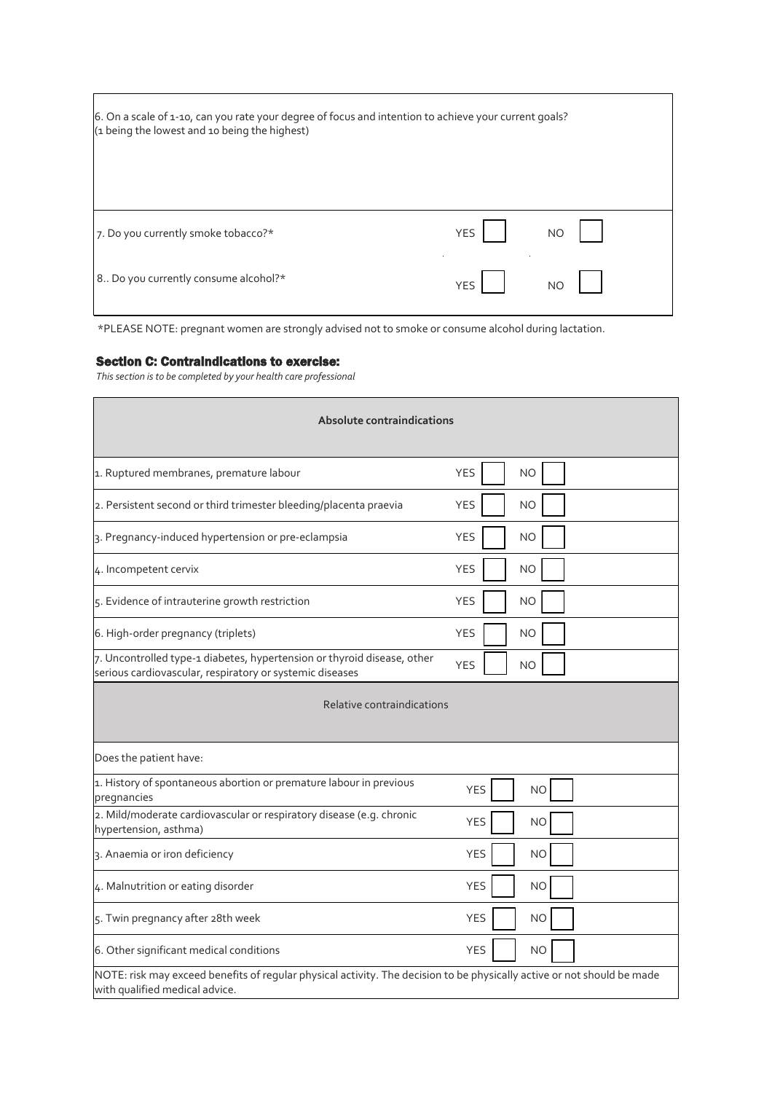| 6. On a scale of 1-10, can you rate your degree of focus and intention to achieve your current goals?<br>(1 being the lowest and 10 being the highest) |     |           |
|--------------------------------------------------------------------------------------------------------------------------------------------------------|-----|-----------|
| 7. Do you currently smoke tobacco?*                                                                                                                    | YES | <b>NO</b> |
| 8 Do you currently consume alcohol?*                                                                                                                   | YES | <b>NO</b> |

\*PLEASE NOTE: pregnant women are strongly advised not to smoke or consume alcohol during lactation.

#### Section C: Contraindications to exercise:

*This section is to be completed by your health care professional*

| Absolute contraindications                                                                                                                                |                         |  |  |  |  |
|-----------------------------------------------------------------------------------------------------------------------------------------------------------|-------------------------|--|--|--|--|
| 1. Ruptured membranes, premature labour                                                                                                                   | <b>YES</b><br><b>NO</b> |  |  |  |  |
| 2. Persistent second or third trimester bleeding/placenta praevia                                                                                         | <b>YES</b><br><b>NO</b> |  |  |  |  |
| 3. Pregnancy-induced hypertension or pre-eclampsia                                                                                                        | <b>YES</b><br><b>NO</b> |  |  |  |  |
| 4. Incompetent cervix                                                                                                                                     | <b>YES</b><br><b>NO</b> |  |  |  |  |
| 5. Evidence of intrauterine growth restriction                                                                                                            | <b>YES</b><br><b>NO</b> |  |  |  |  |
| 6. High-order pregnancy (triplets)                                                                                                                        | <b>YES</b><br>NO        |  |  |  |  |
| 7. Uncontrolled type-1 diabetes, hypertension or thyroid disease, other<br>serious cardiovascular, respiratory or systemic diseases                       | <b>YES</b><br><b>NO</b> |  |  |  |  |
| Relative contraindications                                                                                                                                |                         |  |  |  |  |
| Does the patient have:                                                                                                                                    |                         |  |  |  |  |
| 1. History of spontaneous abortion or premature labour in previous<br>pregnancies                                                                         | <b>YES</b><br><b>NO</b> |  |  |  |  |
| 2. Mild/moderate cardiovascular or respiratory disease (e.g. chronic<br>hypertension, asthma)                                                             | <b>YES</b><br><b>NO</b> |  |  |  |  |
| 3. Anaemia or iron deficiency                                                                                                                             | <b>YES</b><br><b>NO</b> |  |  |  |  |
| 4. Malnutrition or eating disorder                                                                                                                        | <b>YES</b><br><b>NO</b> |  |  |  |  |
| 5. Twin pregnancy after 28th week                                                                                                                         | <b>YES</b><br><b>NO</b> |  |  |  |  |
| 6. Other significant medical conditions                                                                                                                   | <b>YES</b><br><b>NO</b> |  |  |  |  |
| NOTE: risk may exceed benefits of regular physical activity. The decision to be physically active or not should be made<br>with qualified medical advice. |                         |  |  |  |  |